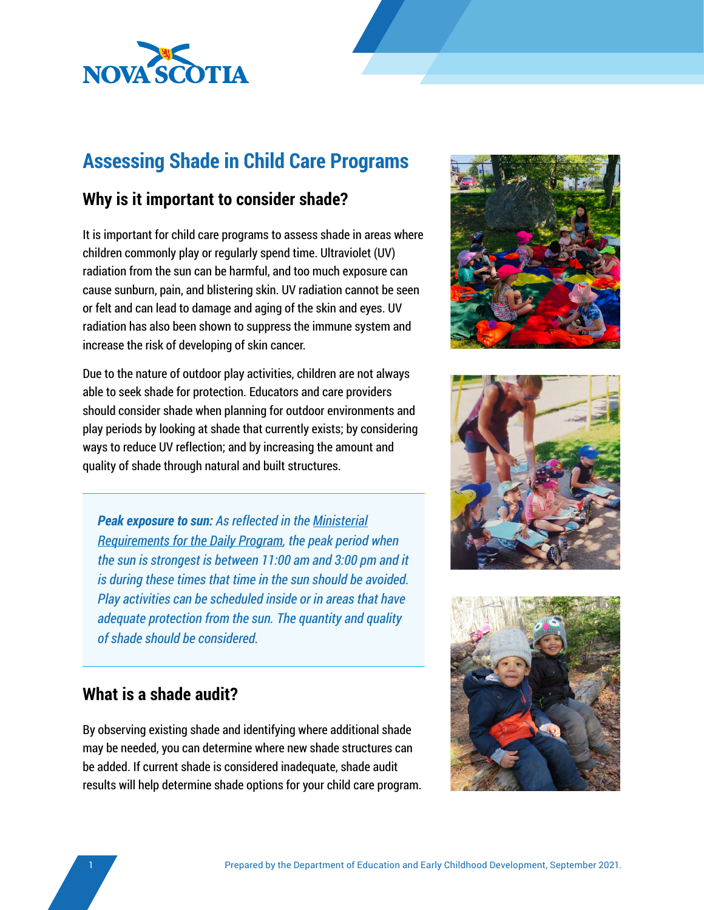

# **Assessing Shade in Child Care Programs**

## **Why is it important to consider shade?**

It is important for child care programs to assess shade in areas where children commonly play or regularly spend time. Ultraviolet (UV) radiation from the sun can be harmful, and too much exposure can cause sunburn, pain, and blistering skin. UV radiation cannot be seen or felt and can lead to damage and aging of the skin and eyes. UV radiation has also been shown to suppress the immune system and increase the risk of developing of skin cancer.

Due to the nature of outdoor play activities, children are not always able to seek shade for protection. Educators and care providers should consider shade when planning for outdoor environments and play periods by looking at shade that currently exists; by considering ways to reduce UV reflection; and by increasing the amount and quality of shade through natural and built structures.

*Peak exposure to sun: As reflected in the [Ministerial](https://www.ednet.ns.ca/earlyyears/documents/ministerial_requirements/Section%20F%20-%20Ministerial%20Requirements%20for%20Daily%20Program%20EN.pdf) [Requirements for the Daily Program](https://www.ednet.ns.ca/earlyyears/documents/ministerial_requirements/Section%20F%20-%20Ministerial%20Requirements%20for%20Daily%20Program%20EN.pdf), the peak period when the sun is strongest is between 11:00 am and 3:00 pm and it is during these times that time in the sun should be avoided. Play activities can be scheduled inside or in areas that have adequate protection from the sun. The quantity and quality of shade should be considered.* 





### **What is a shade audit?**

By observing existing shade and identifying where additional shade may be needed, you can determine where new shade structures can be added. If current shade is considered inadequate, shade audit results will help determine shade options for your child care program.

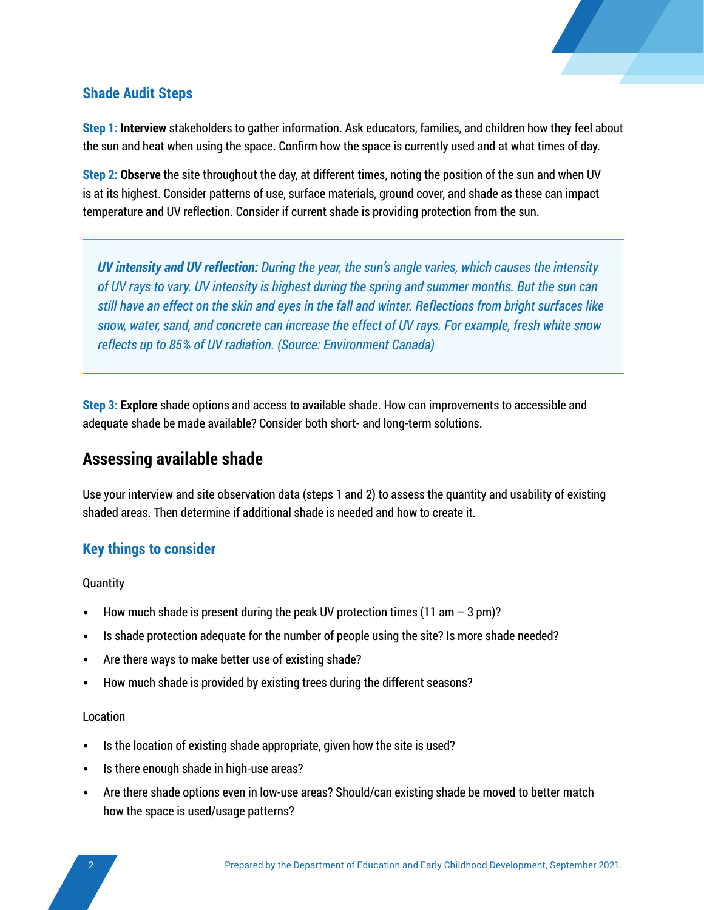

#### **Shade Audit Steps**

**Step 1: Interview** stakeholders to gather information. Ask educators, families, and children how they feel about the sun and heat when using the space. Confirm how the space is currently used and at what times of day.

**Step 2: Observe** the site throughout the day, at different times, noting the position of the sun and when UV is at its highest. Consider patterns of use, surface materials, ground cover, and shade as these can impact temperature and UV reflection. Consider if current shade is providing protection from the sun.

*UV intensity and UV reflection: During the year, the sun's angle varies, which causes the intensity of UV rays to vary. UV intensity is highest during the spring and summer months. But the sun can still have an effect on the skin and eyes in the fall and winter. Reflections from bright surfaces like snow, water, sand, and concrete can increase the effect of UV rays. For example, fresh white snow reflects up to 85% of UV radiation. (Source: [Environment Canada\)](https://www.canada.ca/en/health-canada/services/sun-safety/sun-safety-basics.html)*

**Step 3: Explore** shade options and access to available shade. How can improvements to accessible and adequate shade be made available? Consider both short- and long-term solutions.

### **Assessing available shade**

Use your interview and site observation data (steps 1 and 2) to assess the quantity and usability of existing shaded areas. Then determine if additional shade is needed and how to create it.

#### **Key things to consider**

**Quantity** 

- How much shade is present during the peak UV protection times (11 am  $-$  3 pm)?
- Is shade protection adequate for the number of people using the site? Is more shade needed?
- Are there ways to make better use of existing shade?
- How much shade is provided by existing trees during the different seasons?

#### Location

- Is the location of existing shade appropriate, given how the site is used?
- Is there enough shade in high-use areas?
- Are there shade options even in low-use areas? Should/can existing shade be moved to better match how the space is used/usage patterns?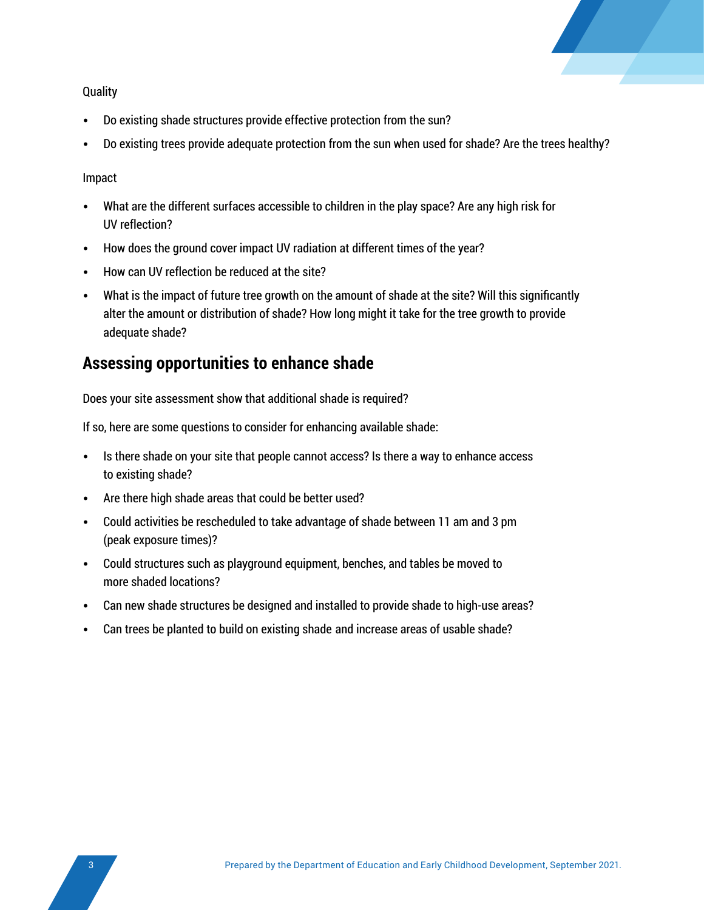

**Quality** 

- Do existing shade structures provide effective protection from the sun?
- Do existing trees provide adequate protection from the sun when used for shade? Are the trees healthy?

Impact

- What are the different surfaces accessible to children in the play space? Are any high risk for UV reflection?
- How does the ground cover impact UV radiation at different times of the year?
- How can UV reflection be reduced at the site?
- What is the impact of future tree growth on the amount of shade at the site? Will this significantly alter the amount or distribution of shade? How long might it take for the tree growth to provide adequate shade?

#### **Assessing opportunities to enhance shade**

Does your site assessment show that additional shade is required?

If so, here are some questions to consider for enhancing available shade:

- Is there shade on your site that people cannot access? Is there a way to enhance access to existing shade?
- Are there high shade areas that could be better used?
- Could activities be rescheduled to take advantage of shade between 11 am and 3 pm (peak exposure times)?
- Could structures such as playground equipment, benches, and tables be moved to more shaded locations?
- Can new shade structures be designed and installed to provide shade to high-use areas?
- Can trees be planted to build on existing shade and increase areas of usable shade?